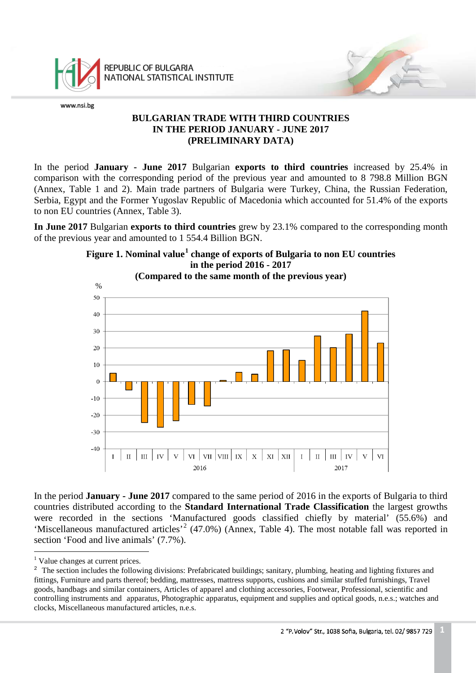

REPUBLIC OF BULGARIA NATIONAL STATISTICAL INSTITUTE

www.nsi.bg

## **BULGARIAN TRADE WITH THIRD COUNTRIES IN THE PERIOD JANUARY - JUNE 2017 (PRELIMINARY DATA)**

In the period **January - June 2017** Bulgarian **exports to third countries** increased by 25.4% in comparison with the corresponding period of the previous year and amounted to 8 798.8 Million BGN (Annex, Table 1 and 2). Main trade partners of Bulgaria were Turkey, China, the Russian Federation, Serbia, Egypt and the Former Yugoslav Republic of Macedonia which accounted for 51.4% of the exports to non EU countries (Annex, Table 3).

**In June 2017** Bulgarian **exports to third countries** grew by 23.1% compared to the corresponding month of the previous year and amounted to 1 554.4 Billion BGN.



In the period **January - June 2017** compared to the same period of 2016 in the exports of Bulgaria to third countries distributed according to the **Standard International Trade Classification** the largest growths were recorded in the sections 'Manufactured goods classified chiefly by material' (55.6%) and 'Miscellaneous manufactured articles'<sup>[2](#page-0-1)</sup> (47.0%) (Annex, Table 4). The most notable fall was reported in section 'Food and live animals' (7.7%).

<sup>&</sup>lt;sup>1</sup> Value changes at current prices.  $\frac{1}{1}$ 

<span id="page-0-1"></span><span id="page-0-0"></span><sup>&</sup>lt;sup>2</sup> The section includes the following divisions: Prefabricated buildings; sanitary, plumbing, heating and lighting fixtures and fittings, Furniture and parts thereof; bedding, mattresses, mattress supports, cushions and similar stuffed furnishings, Travel goods, handbags and similar containers, Articles of apparel and clothing accessories, Footwear, Professional, scientific and controlling instruments and apparatus, Photographic apparatus, equipment and supplies and optical goods, n.e.s.; watches and clocks, Miscellaneous manufactured articles, n.e.s.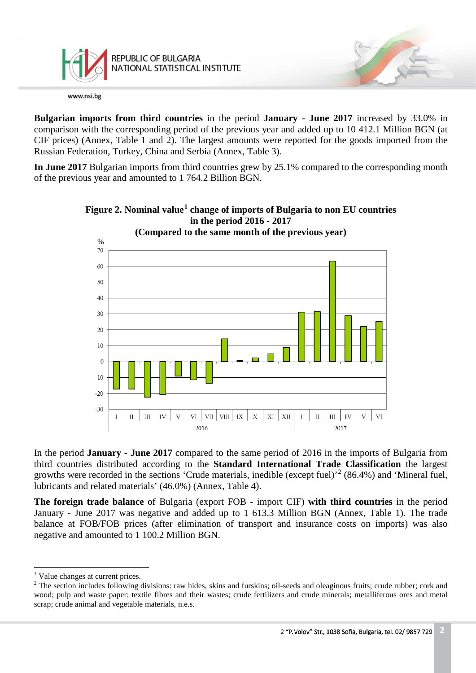

**Bulgarian imports from third countries** in the period **January - June 2017** increased by 33.0% in comparison with the corresponding period of the previous year and added up to 10 412.1 Million BGN (at CIF prices) (Annex, Table 1 and 2). The largest amounts were reported for the goods imported from the Russian Federation, Turkey, China and Serbia (Annex, Table 3).

**In June 2017** Bulgarian imports from third countries grew by 25.1% compared to the corresponding month of the previous year and amounted to 1 764.2 Billion BGN.





In the period **January - June 2017** compared to the same period of 2016 in the imports of Bulgaria from third countries distributed according to the **Standard International Trade Classification** the largest growths were recorded in the sections 'Crude materials, inedible (except fuel)<sup>[2](#page-1-1)</sup> (86.4%) and 'Mineral fuel, lubricants and related materials' (46.0%) (Annex, Table 4).

**The foreign trade balance** of Bulgaria (export FOB - import CIF) **with third countries** in the period January - June 2017 was negative and added up to 1 613.3 Million BGN (Annex, Table 1). The trade balance at FOB/FOB prices (after elimination of transport and insurance costs on imports) was also negative and amounted to 1 100.2 Million BGN.

<sup>&</sup>lt;sup>1</sup> Value changes at current prices.  $\frac{1}{1}$ 

<span id="page-1-1"></span><span id="page-1-0"></span><sup>&</sup>lt;sup>2</sup> The section includes following divisions: raw hides, skins and furskins; oil-seeds and oleaginous fruits; crude rubber; cork and wood; pulp and waste paper; textile fibres and their wastes; crude fertilizers and crude minerals; metalliferous ores and metal scrap; crude animal and vegetable materials, n.e.s.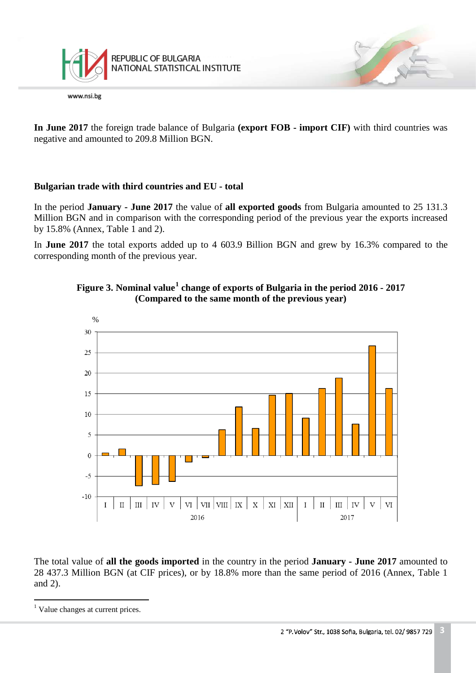

**In June 2017** the foreign trade balance of Bulgaria **(export FOB - import CIF)** with third countries was negative and amounted to 209.8 Million BGN.

## **Bulgarian trade with third countries and EU - total**

In the period **January - June 2017** the value of **all exported goods** from Bulgaria amounted to 25 131.3 Million BGN and in comparison with the corresponding period of the previous year the exports increased by 15.8% (Annex, Table 1 and 2).

In **June 2017** the total exports added up to 4 603.9 Billion BGN and grew by 16.3% compared to the corresponding month of the previous year.





The total value of **all the goods imported** in the country in the period **January - June 2017** amounted to 28 437.3 Million BGN (at CIF prices), or by 18.8% more than the same period of 2016 (Annex, Table 1 and 2).

<span id="page-2-0"></span><sup>&</sup>lt;sup>1</sup> Value changes at current prices.  $\frac{1}{1}$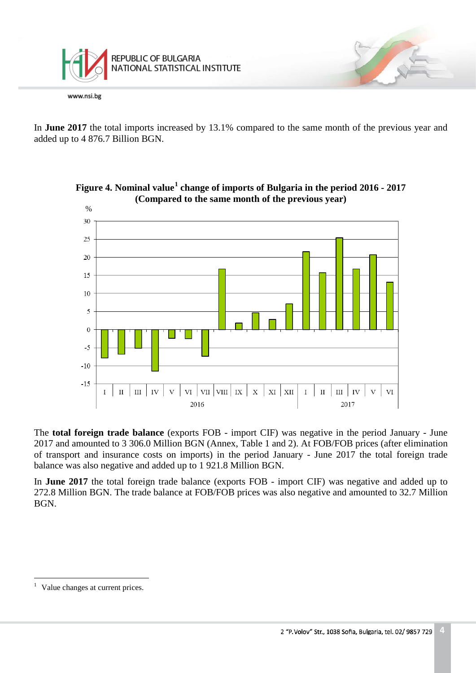

In **June 2017** the total imports increased by 13.1% compared to the same month of the previous year and added up to 4 876.7 Billion BGN.



**Figure 4. Nominal value[1](#page-3-0) change of imports of Bulgaria in the period 2016 - 2017 (Compared to the same month of the previous year)**

The **total foreign trade balance** (exports FOB - import CIF) was negative in the period January - June 2017 and amounted to 3 306.0 Million BGN (Annex, Table 1 and 2). At FOB/FOB prices (after elimination of transport and insurance costs on imports) in the period January - June 2017 the total foreign trade balance was also negative and added up to 1 921.8 Million BGN.

In **June 2017** the total foreign trade balance (exports FOB - import CIF) was negative and added up to 272.8 Million BGN. The trade balance at FOB/FOB prices was also negative and amounted to 32.7 Million BGN.

<span id="page-3-0"></span><sup>&</sup>lt;sup>1</sup> Value changes at current prices.  $\frac{1}{1}$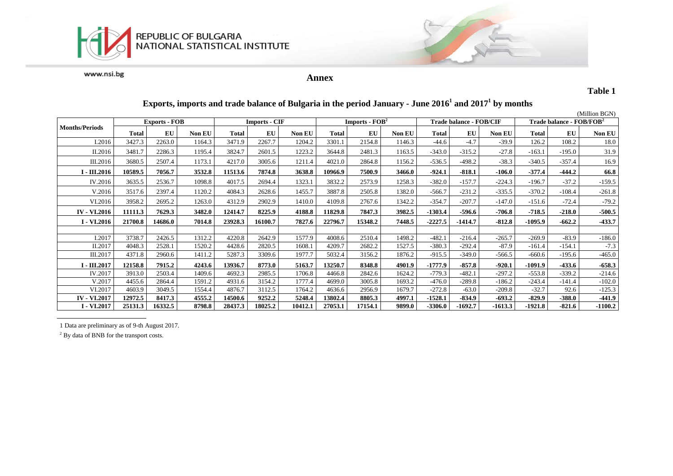



**Annex**

**Table 1**

| Exports, imports and trade balance of Bulgaria in the period January - June $20161$ and $20171$ by months |
|-----------------------------------------------------------------------------------------------------------|
|-----------------------------------------------------------------------------------------------------------|

|                       |                      |         |        |                      |           |         |                                    |         |        |                                |           |           |                                      |          | (Million BGN) |
|-----------------------|----------------------|---------|--------|----------------------|-----------|---------|------------------------------------|---------|--------|--------------------------------|-----------|-----------|--------------------------------------|----------|---------------|
|                       | <b>Exports - FOB</b> |         |        | <b>Imports - CIF</b> |           |         | <b>Imports - <math>FOB2</math></b> |         |        | <b>Trade balance - FOB/CIF</b> |           |           | Trade balance - FOB/FOB <sup>2</sup> |          |               |
| <b>Months/Periods</b> | <b>Total</b>         | EU      | Non EU | <b>Total</b>         | <b>EU</b> | Non EU  | <b>Total</b>                       | EU      | Non EU | <b>Total</b>                   | EU        | Non EU    | <b>Total</b>                         | EU       | Non EU        |
| I.2016                | 3427.3               | 2263.0  | 1164.3 | 3471.9               | 2267.7    | 1204.2  | 3301.1                             | 2154.8  | 1146.3 | $-44.6$                        | $-4.7$    | $-39.9$   | 126.2                                | 108.2    | 18.0          |
| II.2016               | 3481.7               | 2286.3  | 1195.4 | 3824.7               | 2601.5    | 1223.2  | 3644.8                             | 2481.3  | 1163.5 | $-343.0$                       | $-315.2$  | $-27.8$   | $-163.1$                             | $-195.0$ | 31.9          |
| III.2016              | 3680.5               | 2507.4  | 1173.1 | 4217.0               | 3005.6    | 1211.4  | 4021.0                             | 2864.8  | 1156.2 | $-536.5$                       | $-498.2$  | $-38.3$   | $-340.5$                             | $-357.4$ | 16.9          |
| I - III.2016          | 10589.5              | 7056.7  | 3532.8 | 11513.6              | 7874.8    | 3638.8  | 10966.9                            | 7500.9  | 3466.0 | $-924.1$                       | $-818.1$  | $-106.0$  | $-377.4$                             | $-444.2$ | 66.8          |
| IV.2016               | 3635.5               | 2536.7  | 1098.8 | 4017.5               | 2694.4    | 1323.1  | 3832.2                             | 2573.9  | 1258.3 | $-382.0$                       | $-157.7$  | $-224.3$  | $-196.7$                             | $-37.2$  | $-159.5$      |
| V.2016                | 3517.6               | 2397.4  | 1120.2 | 4084.3               | 2628.6    | 1455.7  | 3887.8                             | 2505.8  | 1382.0 | $-566.7$                       | $-231.2$  | $-335.5$  | $-370.2$                             | $-108.4$ | $-261.8$      |
| VI.2016               | 3958.2               | 2695.2  | 1263.0 | 4312.9               | 2902.9    | 1410.0  | 4109.8                             | 2767.6  | 1342.2 | $-354.7$                       | $-207.7$  | $-147.0$  | $-151.6$                             | $-72.4$  | $-79.2$       |
| <b>IV - VI.2016</b>   | 11111.3              | 7629.3  | 3482.0 | 12414.7              | 8225.9    | 4188.8  | 11829.8                            | 7847.3  | 3982.5 | $-1303.4$                      | -596.6    | $-706.8$  | $-718.5$                             | $-218.0$ | $-500.5$      |
| I - VI.2016           | 21700.8              | 14686.0 | 7014.8 | 23928.3              | 16100.7   | 7827.6  | 22796.7                            | 15348.2 | 7448.5 | $-2227.5$                      | $-1414.7$ | $-812.8$  | $-1095.9$                            | $-662.2$ | $-433.7$      |
|                       |                      |         |        |                      |           |         |                                    |         |        |                                |           |           |                                      |          |               |
| I.2017                | 3738.7               | 2426.5  | 1312.2 | 4220.8               | 2642.9    | 1577.9  | 4008.6                             | 2510.4  | 1498.2 | $-482.1$                       | $-216.4$  | $-265.7$  | $-269.9$                             | $-83.9$  | $-186.0$      |
| II.2017               | 4048.3               | 2528.1  | 1520.2 | 4428.6               | 2820.5    | 1608.1  | 4209.7                             | 2682.2  | 1527.5 | $-380.3$                       | $-292.4$  | $-87.9$   | $-161.4$                             | -154.1   | $-7.3$        |
| III.2017              | 4371.8               | 2960.6  | 1411.2 | 5287.3               | 3309.6    | 1977.7  | 5032.4                             | 3156.2  | 1876.2 | $-915.5$                       | $-349.0$  | $-566.5$  | $-660.6$                             | $-195.6$ | $-465.0$      |
| I - III.2017          | 12158.8              | 7915.2  | 4243.6 | 13936.7              | 8773.0    | 5163.7  | 13250.7                            | 8348.8  | 4901.9 | $-1777.9$                      | $-857.8$  | $-920.1$  | $-1091.9$                            | $-433.6$ | $-658.3$      |
| IV.2017               | 3913.0               | 2503.4  | 1409.6 | 4692.3               | 2985.5    | 1706.8  | 4466.8                             | 2842.6  | 1624.2 | $-779.3$                       | $-482.1$  | $-297.2$  | $-553.8$                             | $-339.2$ | $-214.6$      |
| V.2017                | 4455.6               | 2864.4  | 1591.2 | 4931.6               | 3154.2    | 1777.4  | 4699.0                             | 3005.8  | 1693.2 | $-476.0$                       | $-289.8$  | $-186.2$  | $-243.4$                             | -141.4   | $-102.0$      |
| VI.2017               | 4603.9               | 3049.5  | 1554.4 | 4876.7               | 3112.5    | 1764.2  | 4636.6                             | 2956.9  | 1679.7 | $-272.8$                       | $-63.0$   | $-209.8$  | $-32.7$                              | 92.6     | $-125.3$      |
| <b>IV - VI.2017</b>   | 12972.5              | 8417.3  | 4555.2 | 14500.6              | 9252.2    | 5248.4  | 13802.4                            | 8805.3  | 4997.1 | $-1528.1$                      | $-834.9$  | $-693.2$  | $-829.9$                             | $-388.0$ | $-441.9$      |
| I - VI.2017           | 25131.3              | 16332.5 | 8798.8 | 28437.3              | 18025.2   | 10412.1 | 27053.1                            | 17154.1 | 9899.0 | $-3306.0$                      | $-1692.7$ | $-1613.3$ | $-1921.8$                            | $-821.6$ | $-1100.2$     |

1 Data are preliminary as of 9-th August 2017.

<sup>2</sup> By data of BNB for the transport costs.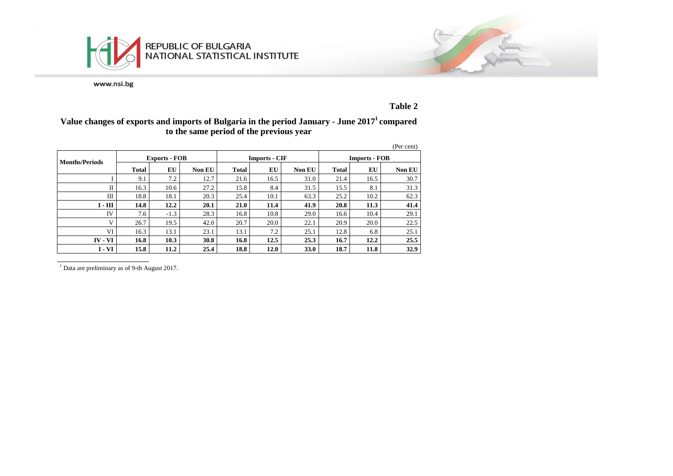



**Table 2**

### **Value changes of exports and imports of Bulgaria in the period January - June 20171 compared to the same period of the previous year**

|                             |              |                      |        |              |                      |               |                      |      | (Per cent) |  |
|-----------------------------|--------------|----------------------|--------|--------------|----------------------|---------------|----------------------|------|------------|--|
| <b>Months/Periods</b>       |              | <b>Exports - FOB</b> |        |              | <b>Imports - CIF</b> |               | <b>Imports - FOB</b> |      |            |  |
|                             | <b>Total</b> | EU                   | Non EU | <b>Total</b> | EU                   | <b>Non EU</b> | <b>Total</b>         | EU   | Non EU     |  |
|                             | 9.1          | 7.2                  | 12.7   | 21.6         | 16.5                 | 31.0          | 21.4                 | 16.5 | 30.7       |  |
| П                           | 16.3         | 10.6                 | 27.2   | 15.8         | 8.4                  | 31.5          | 15.5                 | 8.1  | 31.3       |  |
| Ш                           | 18.8         | 18.1                 | 20.3   | 25.4         | 10.1                 | 63.3          | 25.2                 | 10.2 | 62.3       |  |
| $\mathbf{I}$ - $\mathbf{I}$ | 14.8         | 12.2                 | 20.1   | 21.0         | 11.4                 | 41.9          | 20.8                 | 11.3 | 41.4       |  |
| IV                          | 7.6          | $-1.3$               | 28.3   | 16.8         | 10.8                 | 29.0          | 16.6                 | 10.4 | 29.1       |  |
| V                           | 26.7         | 19.5                 | 42.0   | 20.7         | 20.0                 | 22.1          | 20.9                 | 20.0 | 22.5       |  |
| VI                          | 16.3         | 13.1                 | 23.1   | 13.1         | 7.2                  | 25.1          | 12.8                 | 6.8  | 25.1       |  |
| $IV - VI$                   | 16.8         | 10.3                 | 30.8   | 16.8         | 12.5                 | 25.3          | 16.7                 | 12.2 | 25.5       |  |
| I - VI                      | 15.8         | 11.2                 | 25.4   | 18.8         | 12.0                 | <b>33.0</b>   | 18.7                 | 11.8 | 32.9       |  |

<sup>1</sup> Data are preliminary as of 9-th August 2017.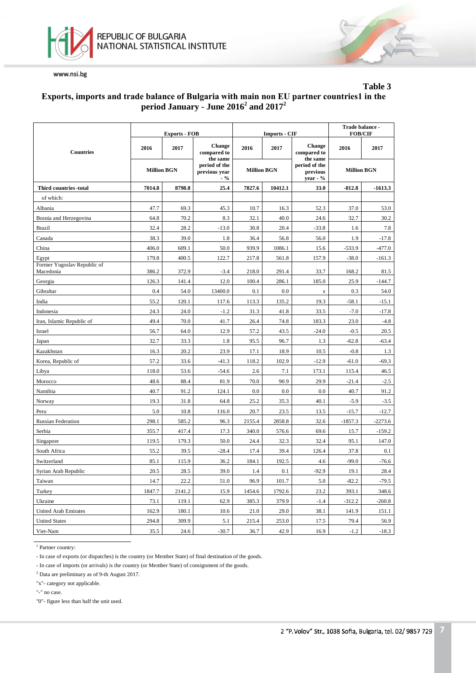



# **Table 3**

## **Еxports, imports and trade balance of Bulgaria with main non EU partner countries1 in the period January - June 2016<sup>2</sup> and 20172**

|                                          |                    | <b>Exports - FOB</b> |                                                      |                    | <b>Imports - CIF</b> | Trade balance -<br><b>FOB/CIF</b>                 |                    |           |
|------------------------------------------|--------------------|----------------------|------------------------------------------------------|--------------------|----------------------|---------------------------------------------------|--------------------|-----------|
| <b>Countries</b>                         | 2016               | 2017                 | <b>Change</b><br>compared to                         | 2016               | 2017                 | <b>Change</b><br>compared to                      | 2016               | 2017      |
|                                          | <b>Million BGN</b> |                      | the same<br>period of the<br>previous year<br>$. \%$ | <b>Million BGN</b> |                      | the same<br>period of the<br>previous<br>year - % | <b>Million BGN</b> |           |
| Third countries -total                   | 7014.8             | 8798.8               | 25.4                                                 | 7827.6             | 10412.1              | 33.0                                              | $-812.8$           | $-1613.3$ |
| of which:                                |                    |                      |                                                      |                    |                      |                                                   |                    |           |
| Albania                                  | 47.7               | 69.3                 | 45.3                                                 | 10.7               | 16.3                 | 52.3                                              | 37.0               | 53.0      |
| Bosnia and Herzegovina                   | 64.8               | 70.2                 | 8.3                                                  | 32.1               | 40.0                 | 24.6                                              | 32.7               | 30.2      |
| <b>Brazil</b>                            | 32.4               | 28.2                 | $-13.0$                                              | 30.8               | 20.4                 | $-33.8$                                           | 1.6                | 7.8       |
| Canada                                   | 38.3               | 39.0                 | 1.8                                                  | 36.4               | 56.8                 | 56.0                                              | 1.9                | $-17.8$   |
| China                                    | 406.0              | 609.1                | 50.0                                                 | 939.9              | 1086.1               | 15.6                                              | $-533.9$           | -477.0    |
| Egypt                                    | 179.8              | 400.5                | 122.7                                                | 217.8              | 561.8                | 157.9                                             | $-38.0$            | $-161.3$  |
| Former Yugoslav Republic of<br>Macedonia | 386.2              | 372.9                | $-3.4$                                               | 218.0              | 291.4                | 33.7                                              | 168.2              | 81.5      |
| Georgia                                  | 126.3              | 141.4                | 12.0                                                 | 100.4              | 286.1                | 185.0                                             | 25.9               | $-144.7$  |
| Gibraltar                                | 0.4                | 54.0                 | 13400.0                                              | 0.1                | 0.0                  | $\mathbf X$                                       | 0.3                | 54.0      |
| India                                    | 55.2               | 120.1                | 117.6                                                | 113.3              | 135.2                | 19.3                                              | $-58.1$            | $-15.1$   |
| Indonesia                                | 24.3               | 24.0                 | $-1.2$                                               | 31.3               | 41.8                 | 33.5                                              | $-7.0$             | $-17.8$   |
| Iran, Islamic Republic of                | 49.4               | 70.0                 | 41.7                                                 | 26.4               | 74.8                 | 183.3                                             | 23.0               | $-4.8$    |
| Israel                                   | 56.7               | 64.0                 | 12.9                                                 | 57.2               | 43.5                 | $-24.0$                                           | $-0.5$             | 20.5      |
| Japan                                    | 32.7               | 33.3                 | 1.8                                                  | 95.5               | 96.7                 | 1.3                                               | $-62.8$            | $-63.4$   |
| Kazakhstan                               | 16.3               | 20.2                 | 23.9                                                 | 17.1               | 18.9                 | 10.5                                              | $-0.8$             | 1.3       |
| Korea, Republic of                       | 57.2               | 33.6                 | $-41.3$                                              | 118.2              | 102.9                | $-12.9$                                           | $-61.0$            | $-69.3$   |
| Libya                                    | 118.0              | 53.6                 | $-54.6$                                              | 2.6                | 7.1                  | 173.1                                             | 115.4              | 46.5      |
| Morocco                                  | 48.6               | 88.4                 | 81.9                                                 | 70.0               | 90.9                 | 29.9                                              | $-21.4$            | $-2.5$    |
| Namibia                                  | 40.7               | 91.2                 | 124.1                                                | 0.0                | 0.0                  | 0.0                                               | 40.7               | 91.2      |
| Norway                                   | 19.3               | 31.8                 | 64.8                                                 | 25.2               | 35.3                 | 40.1                                              | $-5.9$             | $-3.5$    |
| Peru                                     | 5.0                | 10.8                 | 116.0                                                | 20.7               | 23.5                 | 13.5                                              | $-15.7$            | $-12.7$   |
| <b>Russian Federation</b>                | 298.1              | 585.2                | 96.3                                                 | 2155.4             | 2858.8               | 32.6                                              | $-1857.3$          | $-2273.6$ |
| Serbia                                   | 355.7              | 417.4                | 17.3                                                 | 340.0              | 576.6                | 69.6                                              | 15.7               | $-159.2$  |
| Singapore                                | 119.5              | 179.3                | 50.0                                                 | 24.4               | 32.3                 | 32.4                                              | 95.1               | 147.0     |
| South Africa                             | 55.2               | 39.5                 | $-28.4$                                              | 17.4               | 39.4                 | 126.4                                             | 37.8               | 0.1       |
| Switzerland                              | 85.1               | 115.9                | 36.2                                                 | 184.1              | 192.5                | 4.6                                               | $-99.0$            | $-76.6$   |
| Syrian Arab Republic                     | 20.5               | 28.5                 | 39.0                                                 | 1.4                | 0.1                  | $-92.9$                                           | 19.1               | 28.4      |
| Taiwan                                   | 14.7               | 22.2                 | 51.0                                                 | 96.9               | 101.7                | 5.0                                               | $-82.2$            | $-79.5$   |
| Turkey                                   | 1847.7             | 2141.2               | 15.9                                                 | 1454.6             | 1792.6               | 23.2                                              | 393.1              | 348.6     |
| Ukraine                                  | 73.1               | 119.1                | 62.9                                                 | 385.3              | 379.9                | $-1.4$                                            | $-312.2$           | $-260.8$  |
| <b>United Arab Emirates</b>              | 162.9              | 180.1                | 10.6                                                 | 21.0               | 29.0                 | 38.1                                              | 141.9              | 151.1     |
| <b>United States</b>                     | 294.8              | 309.9                | 5.1                                                  | 215.4              | 253.0                | 17.5                                              | 79.4               | 56.9      |
| Viet-Nam                                 | 35.5               | 24.6                 | $-30.7$                                              | 36.7               | 42.9                 | 16.9                                              | $-1.2$             | $-18.3$   |

<sup>1</sup> Partner country:

- In case of exports (or dispatches) is the country (or Member State) of final destination of the goods.

- In case of imports (or arrivals) is the country (or Member State) of consignment of the goods.

<sup>2</sup> Data are preliminary as of 9-th August 2017.

"x"- category not applicable.

"-" no case.

"0"- figure less than half the unit used.